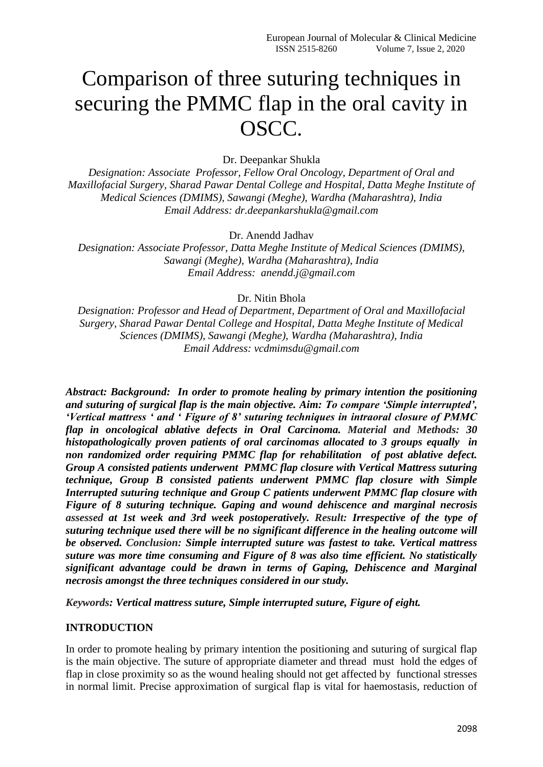# Comparison of three suturing techniques in securing the PMMC flap in the oral cavity in OSCC.

Dr. Deepankar Shukla

*Designation: Associate Professor, Fellow Oral Oncology, Department of Oral and Maxillofacial Surgery, Sharad Pawar Dental College and Hospital, Datta Meghe Institute of Medical Sciences (DMIMS), Sawangi (Meghe), Wardha (Maharashtra), India Email Address: dr.deepankarshukla@gmail.com*

Dr. Anendd Jadhav

*Designation: Associate Professor, Datta Meghe Institute of Medical Sciences (DMIMS), Sawangi (Meghe), Wardha (Maharashtra), India Email Address: anendd.j@gmail.com*

Dr. Nitin Bhola

*Designation: Professor and Head of Department, Department of Oral and Maxillofacial Surgery, Sharad Pawar Dental College and Hospital, Datta Meghe Institute of Medical Sciences (DMIMS), Sawangi (Meghe), Wardha (Maharashtra), India Email Address: vcdmimsdu@gmail.com*

*Abstract: Background: In order to promote healing by primary intention the positioning and suturing of surgical flap is the main objective. Aim: To compare 'Simple interrupted', 'Vertical mattress ' and ' Figure of 8' suturing techniques in intraoral closure of PMMC flap in oncological ablative defects in Oral Carcinoma. Material and Methods: 30 histopathologically proven patients of oral carcinomas allocated to 3 groups equally in non randomized order requiring PMMC flap for rehabilitation of post ablative defect. Group A consisted patients underwent PMMC flap closure with Vertical Mattress suturing technique, Group B consisted patients underwent PMMC flap closure with Simple Interrupted suturing technique and Group C patients underwent PMMC flap closure with Figure of 8 suturing technique. Gaping and wound dehiscence and marginal necrosis assessed at 1st week and 3rd week postoperatively. Result: Irrespective of the type of suturing technique used there will be no significant difference in the healing outcome will be observed. Conclusion: Simple interrupted suture was fastest to take. Vertical mattress suture was more time consuming and Figure of 8 was also time efficient. No statistically significant advantage could be drawn in terms of Gaping, Dehiscence and Marginal necrosis amongst the three techniques considered in our study.*

*Keywords: Vertical mattress suture, Simple interrupted suture, Figure of eight.*

# **INTRODUCTION**

In order to promote healing by primary intention the positioning and suturing of surgical flap is the main objective. The suture of appropriate diameter and thread must hold the edges of flap in close proximity so as the wound healing should not get affected by functional stresses in normal limit. Precise approximation of surgical flap is vital for haemostasis, reduction of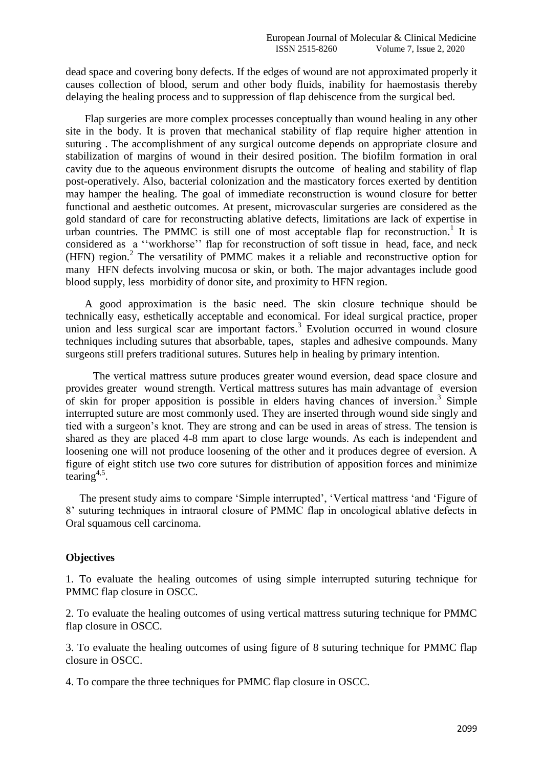dead space and covering bony defects. If the edges of wound are not approximated properly it causes collection of blood, serum and other body fluids, inability for haemostasis thereby delaying the healing process and to suppression of flap dehiscence from the surgical bed.

 Flap surgeries are more complex processes conceptually than wound healing in any other site in the body. It is proven that mechanical stability of flap require higher attention in suturing . The accomplishment of any surgical outcome depends on appropriate closure and stabilization of margins of wound in their desired position. The biofilm formation in oral cavity due to the aqueous environment disrupts the outcome of healing and stability of flap post-operatively. Also, bacterial colonization and the masticatory forces exerted by dentition may hamper the healing. The goal of immediate reconstruction is wound closure for better functional and aesthetic outcomes. At present, microvascular surgeries are considered as the gold standard of care for reconstructing ablative defects, limitations are lack of expertise in urban countries. The PMMC is still one of most acceptable flap for reconstruction.<sup>1</sup> It is considered as a "workhorse" flap for reconstruction of soft tissue in head, face, and neck  $(HFN)$  region.<sup>2</sup> The versatility of PMMC makes it a reliable and reconstructive option for many HFN defects involving mucosa or skin, or both. The major advantages include good blood supply, less morbidity of donor site, and proximity to HFN region.

 A good approximation is the basic need. The skin closure technique should be technically easy, esthetically acceptable and economical. For ideal surgical practice, proper union and less surgical scar are important factors. 3 Evolution occurred in wound closure techniques including sutures that absorbable, tapes, staples and adhesive compounds. Many surgeons still prefers traditional sutures. Sutures help in healing by primary intention.

 The vertical mattress suture produces greater wound eversion, dead space closure and provides greater wound strength. Vertical mattress sutures has main advantage of eversion of skin for proper apposition is possible in elders having chances of inversion.<sup>3</sup> Simple interrupted suture are most commonly used. They are inserted through wound side singly and tied with a surgeon's knot. They are strong and can be used in areas of stress. The tension is shared as they are placed 4-8 mm apart to close large wounds. As each is independent and loosening one will not produce loosening of the other and it produces degree of eversion. A figure of eight stitch use two core sutures for distribution of apposition forces and minimize  $\bar{\tan}$ <sub>4,5</sub>.

The present study aims to compare 'Simple interrupted', 'Vertical mattress 'and 'Figure of 8' suturing techniques in intraoral closure of PMMC flap in oncological ablative defects in Oral squamous cell carcinoma.

#### **Objectives**

1. To evaluate the healing outcomes of using simple interrupted suturing technique for PMMC flap closure in OSCC.

2. To evaluate the healing outcomes of using vertical mattress suturing technique for PMMC flap closure in OSCC.

3. To evaluate the healing outcomes of using figure of 8 suturing technique for PMMC flap closure in OSCC.

4. To compare the three techniques for PMMC flap closure in OSCC.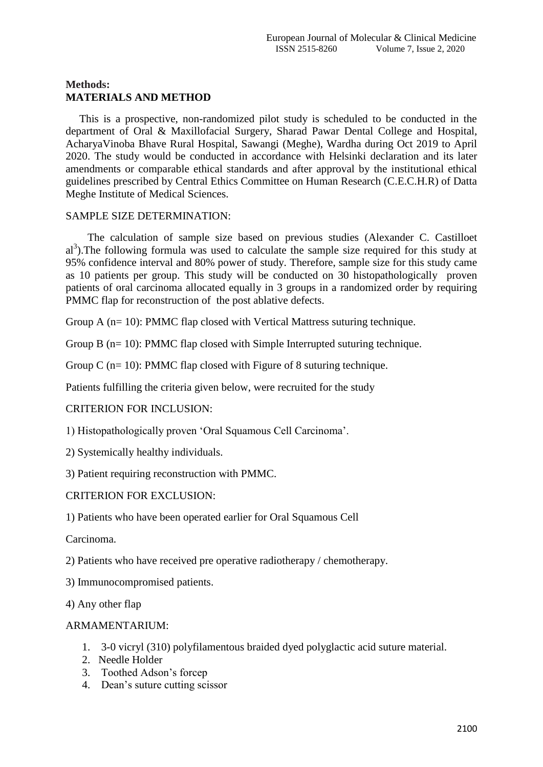# **Methods: MATERIALS AND METHOD**

 This is a prospective, non-randomized pilot study is scheduled to be conducted in the department of Oral & Maxillofacial Surgery, Sharad Pawar Dental College and Hospital, AcharyaVinoba Bhave Rural Hospital, Sawangi (Meghe), Wardha during Oct 2019 to April 2020. The study would be conducted in accordance with Helsinki declaration and its later amendments or comparable ethical standards and after approval by the institutional ethical guidelines prescribed by Central Ethics Committee on Human Research (C.E.C.H.R) of Datta Meghe Institute of Medical Sciences.

# SAMPLE SIZE DETERMINATION:

 The calculation of sample size based on previous studies (Alexander C. Castilloet al<sup>3</sup>). The following formula was used to calculate the sample size required for this study at 95% confidence interval and 80% power of study. Therefore, sample size for this study came as 10 patients per group. This study will be conducted on 30 histopathologically proven patients of oral carcinoma allocated equally in 3 groups in a randomized order by requiring PMMC flap for reconstruction of the post ablative defects.

Group A (n= 10): PMMC flap closed with Vertical Mattress suturing technique.

Group B (n= 10): PMMC flap closed with Simple Interrupted suturing technique.

Group C  $(n=10)$ : PMMC flap closed with Figure of 8 suturing technique.

Patients fulfilling the criteria given below, were recruited for the study

CRITERION FOR INCLUSION:

1) Histopathologically proven 'Oral Squamous Cell Carcinoma'.

- 2) Systemically healthy individuals.
- 3) Patient requiring reconstruction with PMMC.

# CRITERION FOR EXCLUSION:

1) Patients who have been operated earlier for Oral Squamous Cell

Carcinoma.

2) Patients who have received pre operative radiotherapy / chemotherapy.

- 3) Immunocompromised patients.
- 4) Any other flap

# ARMAMENTARIUM:

- 1. 3-0 vicryl (310) polyfilamentous braided dyed polyglactic acid suture material.
- 2. Needle Holder
- 3. Toothed Adson's forcep
- 4. Dean's suture cutting scissor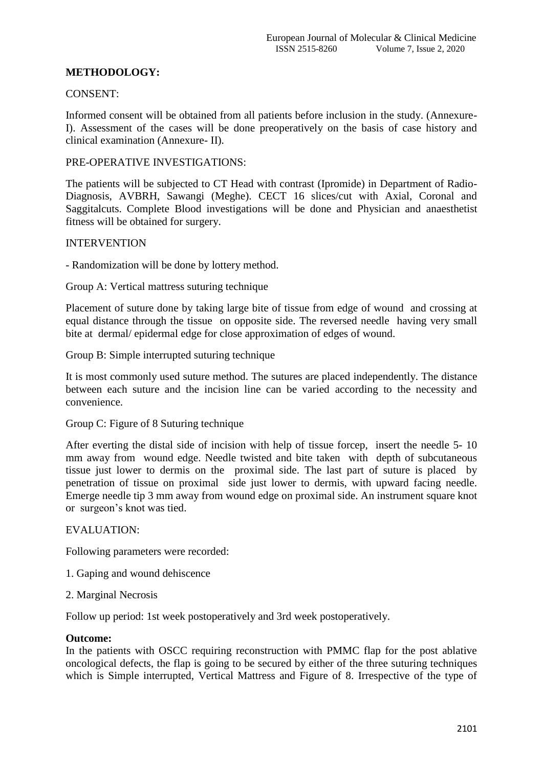# **METHODOLOGY:**

### CONSENT:

Informed consent will be obtained from all patients before inclusion in the study. (Annexure-I). Assessment of the cases will be done preoperatively on the basis of case history and clinical examination (Annexure- II).

#### PRE-OPERATIVE INVESTIGATIONS:

The patients will be subjected to CT Head with contrast (Ipromide) in Department of Radio-Diagnosis, AVBRH, Sawangi (Meghe). CECT 16 slices/cut with Axial, Coronal and Saggitalcuts. Complete Blood investigations will be done and Physician and anaesthetist fitness will be obtained for surgery.

#### INTERVENTION

- Randomization will be done by lottery method.

Group A: Vertical mattress suturing technique

Placement of suture done by taking large bite of tissue from edge of wound and crossing at equal distance through the tissue on opposite side. The reversed needle having very small bite at dermal/ epidermal edge for close approximation of edges of wound.

Group B: Simple interrupted suturing technique

It is most commonly used suture method. The sutures are placed independently. The distance between each suture and the incision line can be varied according to the necessity and convenience.

Group C: Figure of 8 Suturing technique

After everting the distal side of incision with help of tissue forcep, insert the needle 5- 10 mm away from wound edge. Needle twisted and bite taken with depth of subcutaneous tissue just lower to dermis on the proximal side. The last part of suture is placed by penetration of tissue on proximal side just lower to dermis, with upward facing needle. Emerge needle tip 3 mm away from wound edge on proximal side. An instrument square knot or surgeon's knot was tied.

#### EVALUATION:

Following parameters were recorded:

- 1. Gaping and wound dehiscence
- 2. Marginal Necrosis

Follow up period: 1st week postoperatively and 3rd week postoperatively.

#### **Outcome:**

In the patients with OSCC requiring reconstruction with PMMC flap for the post ablative oncological defects, the flap is going to be secured by either of the three suturing techniques which is Simple interrupted, Vertical Mattress and Figure of 8. Irrespective of the type of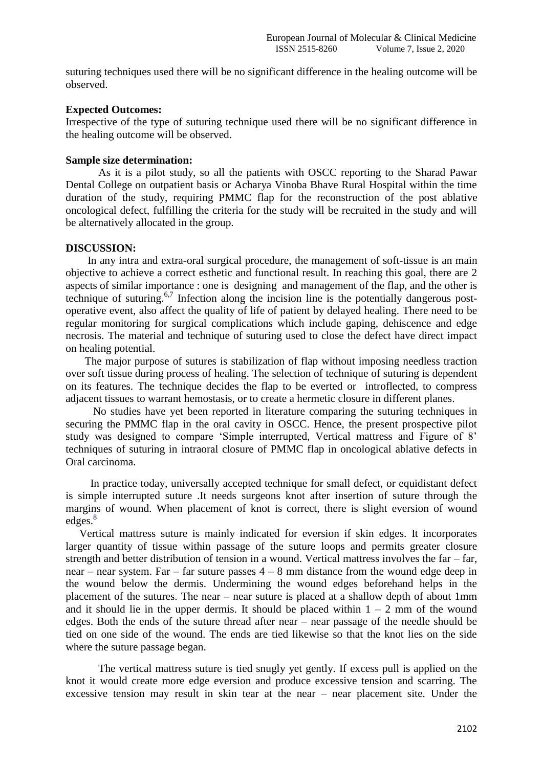suturing techniques used there will be no significant difference in the healing outcome will be observed.

#### **Expected Outcomes:**

Irrespective of the type of suturing technique used there will be no significant difference in the healing outcome will be observed.

#### **Sample size determination:**

As it is a pilot study, so all the patients with OSCC reporting to the Sharad Pawar Dental College on outpatient basis or Acharya Vinoba Bhave Rural Hospital within the time duration of the study, requiring PMMC flap for the reconstruction of the post ablative oncological defect, fulfilling the criteria for the study will be recruited in the study and will be alternatively allocated in the group.

#### **DISCUSSION:**

 In any intra and extra-oral surgical procedure, the management of soft-tissue is an main objective to achieve a correct esthetic and functional result. In reaching this goal, there are 2 aspects of similar importance : one is designing and management of the flap, and the other is technique of suturing.<sup>6,7</sup> Infection along the incision line is the potentially dangerous postoperative event, also affect the quality of life of patient by delayed healing. There need to be regular monitoring for surgical complications which include gaping, dehiscence and edge necrosis. The material and technique of suturing used to close the defect have direct impact on healing potential.

 The major purpose of sutures is stabilization of flap without imposing needless traction over soft tissue during process of healing. The selection of technique of suturing is dependent on its features. The technique decides the flap to be everted or introflected, to compress adjacent tissues to warrant hemostasis, or to create a hermetic closure in different planes.

 No studies have yet been reported in literature comparing the suturing techniques in securing the PMMC flap in the oral cavity in OSCC. Hence, the present prospective pilot study was designed to compare 'Simple interrupted, Vertical mattress and Figure of 8' techniques of suturing in intraoral closure of PMMC flap in oncological ablative defects in Oral carcinoma.

 In practice today, universally accepted technique for small defect, or equidistant defect is simple interrupted suture .It needs surgeons knot after insertion of suture through the margins of wound. When placement of knot is correct, there is slight eversion of wound edges.<sup>8</sup>

 Vertical mattress suture is mainly indicated for eversion if skin edges. It incorporates larger quantity of tissue within passage of the suture loops and permits greater closure strength and better distribution of tension in a wound. Vertical mattress involves the far – far, near – near system. Far – far suture passes 4 – 8 mm distance from the wound edge deep in the wound below the dermis. Undermining the wound edges beforehand helps in the placement of the sutures. The near – near suture is placed at a shallow depth of about 1mm and it should lie in the upper dermis. It should be placed within  $1 - 2$  mm of the wound edges. Both the ends of the suture thread after near – near passage of the needle should be tied on one side of the wound. The ends are tied likewise so that the knot lies on the side where the suture passage began.

 The vertical mattress suture is tied snugly yet gently. If excess pull is applied on the knot it would create more edge eversion and produce excessive tension and scarring. The excessive tension may result in skin tear at the near – near placement site. Under the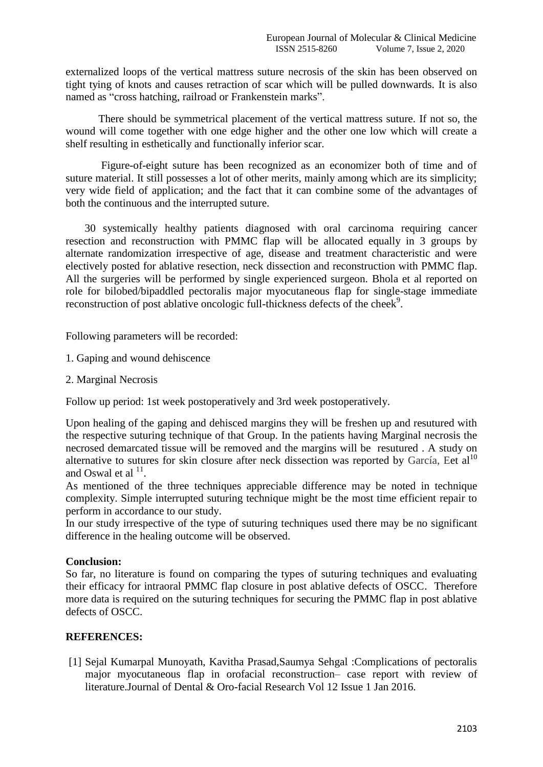externalized loops of the vertical mattress suture necrosis of the skin has been observed on tight tying of knots and causes retraction of scar which will be pulled downwards. It is also named as "cross hatching, railroad or Frankenstein marks".

 There should be symmetrical placement of the vertical mattress suture. If not so, the wound will come together with one edge higher and the other one low which will create a shelf resulting in esthetically and functionally inferior scar.

 Figure-of-eight suture has been recognized as an economizer both of time and of suture material. It still possesses a lot of other merits, mainly among which are its simplicity; very wide field of application; and the fact that it can combine some of the advantages of both the continuous and the interrupted suture.

 30 systemically healthy patients diagnosed with oral carcinoma requiring cancer resection and reconstruction with PMMC flap will be allocated equally in 3 groups by alternate randomization irrespective of age, disease and treatment characteristic and were electively posted for ablative resection, neck dissection and reconstruction with PMMC flap. All the surgeries will be performed by single experienced surgeon. Bhola et al reported on role for bilobed/bipaddled pectoralis major myocutaneous flap for single-stage immediate reconstruction of post ablative oncologic full-thickness defects of the cheek<sup>9</sup>.

Following parameters will be recorded:

- 1. Gaping and wound dehiscence
- 2. Marginal Necrosis

Follow up period: 1st week postoperatively and 3rd week postoperatively.

Upon healing of the gaping and dehisced margins they will be freshen up and resutured with the respective suturing technique of that Group. In the patients having Marginal necrosis the necrosed demarcated tissue will be removed and the margins will be resutured . A study on alternative to sutures for skin closure after neck dissection was reported by García, Eet  $al<sup>10</sup>$ and Oswal et al  $11$ .

As mentioned of the three techniques appreciable difference may be noted in technique complexity. Simple interrupted suturing technique might be the most time efficient repair to perform in accordance to our study.

In our study irrespective of the type of suturing techniques used there may be no significant difference in the healing outcome will be observed.

# **Conclusion:**

So far, no literature is found on comparing the types of suturing techniques and evaluating their efficacy for intraoral PMMC flap closure in post ablative defects of OSCC. Therefore more data is required on the suturing techniques for securing the PMMC flap in post ablative defects of OSCC.

# **REFERENCES:**

[1] Sejal Kumarpal Munoyath, Kavitha Prasad,Saumya Sehgal :Complications of pectoralis major myocutaneous flap in orofacial reconstruction– case report with review of literature.Journal of Dental & Oro-facial Research Vol 12 Issue 1 Jan 2016.